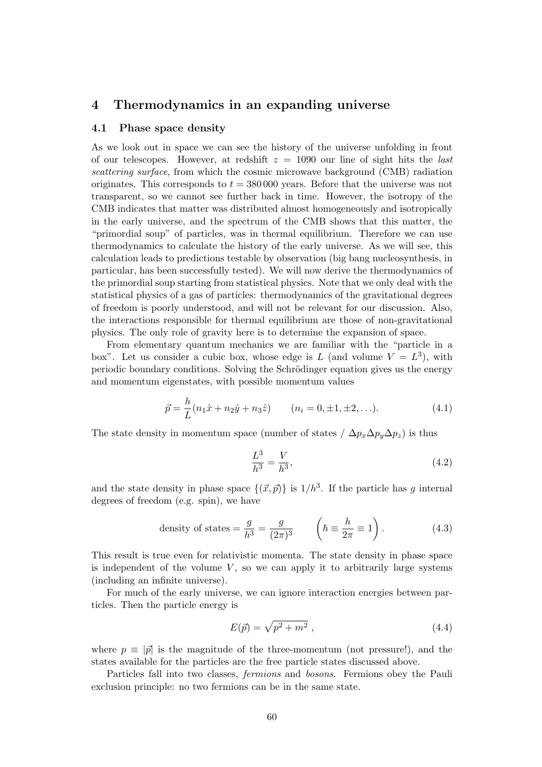# **4 Thermodynamics in an expanding universe**

## **4.1 Phase space density**

As we look out in space we can see the history of the universe unfolding in front of our telescopes. However, at redshift *z* = 1090 our line of sight hits the *last scattering surface*, from which the cosmic microwave background (CMB) radiation originates. This corresponds to *t* = 380 000 years. Before that the universe was not transparent, so we cannot see further back in time. However, the isotropy of the CMB indicates that matter was distributed almost homogeneously and isotropically in the early universe, and the spectrum of the CMB shows that this matter, the "primordial soup" of particles, was in thermal equilibrium. Therefore we can use thermodynamics to calculate the history of the early universe. As we will see, this calculation leads to predictions testable by observation (big bang nucleosynthesis, in particular, has been successfully tested). We will now derive the thermodynamics of the primordial soup starting from statistical physics. Note that we only deal with the statistical physics of a gas of particles: thermodynamics of the gravitational degrees of freedom is poorly understood, and will not be relevant for our discussion. Also, the interactions responsible for thermal equilibrium are those of non-gravitational physics. The only role of gravity here is to determine the expansion of space.

From elementary quantum mechanics we are familiar with the "particle in a box". Let us consider a cubic box, whose edge is L (and volume  $V = L^3$ ), with periodic boundary conditions. Solving the Schrödinger equation gives us the energy and momentum eigenstates, with possible momentum values

$$
\vec{p} = \frac{h}{L}(n_1\hat{x} + n_2\hat{y} + n_3\hat{z}) \qquad (n_i = 0, \pm 1, \pm 2, \ldots). \tag{4.1}
$$

The state density in momentum space (number of states /  $\Delta p_x \Delta p_y \Delta p_z$ ) is thus

$$
\frac{L^3}{h^3} = \frac{V}{h^3},\tag{4.2}
$$

and the state density in phase space  $\{(\vec{x}, \vec{p})\}$  is  $1/h^3$ . If the particle has *g* internal degrees of freedom (e.g. spin), we have

density of states 
$$
=
$$
  $\frac{g}{h^3} = \frac{g}{(2\pi)^3}$   $\left(\hbar \equiv \frac{h}{2\pi} \equiv 1\right)$ . (4.3)

This result is true even for relativistic momenta. The state density in phase space is independent of the volume  $V$ , so we can apply it to arbitrarily large systems (including an infinite universe).

For much of the early universe, we can ignore interaction energies between particles. Then the particle energy is

$$
E(\vec{p}) = \sqrt{p^2 + m^2} \tag{4.4}
$$

where  $p \equiv |\vec{p}|$  is the magnitude of the three-momentum (not pressure!), and the states available for the particles are the free particle states discussed above.

Particles fall into two classes, *fermions* and *bosons*. Fermions obey the Pauli exclusion principle: no two fermions can be in the same state.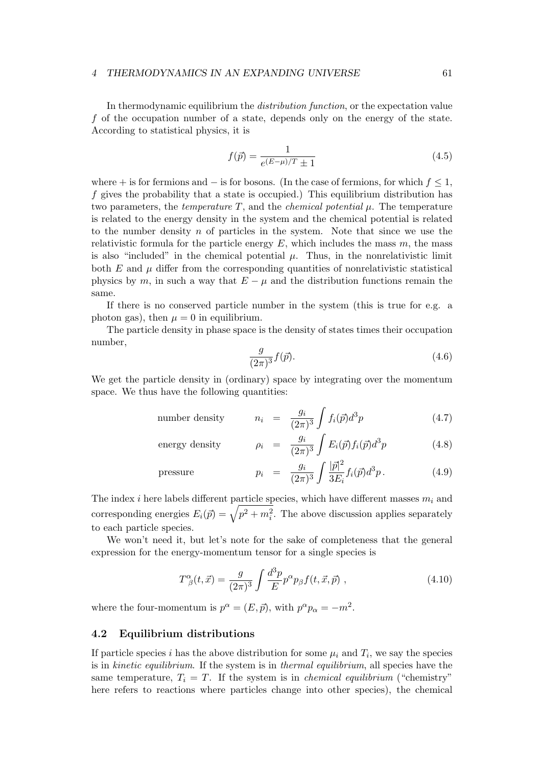In thermodynamic equilibrium the *distribution function*, or the expectation value *f* of the occupation number of a state, depends only on the energy of the state. According to statistical physics, it is

$$
f(\vec{p}) = \frac{1}{e^{(E-\mu)/T} \pm 1} \tag{4.5}
$$

where + is for fermions and *−* is for bosons. (In the case of fermions, for which *f ≤* 1, *f* gives the probability that a state is occupied.) This equilibrium distribution has two parameters, the *temperature T*, and the *chemical potential µ*. The temperature is related to the energy density in the system and the chemical potential is related to the number density *n* of particles in the system. Note that since we use the relativistic formula for the particle energy  $E$ , which includes the mass  $m$ , the mass is also "included" in the chemical potential  $\mu$ . Thus, in the nonrelativistic limit both  $E$  and  $\mu$  differ from the corresponding quantities of nonrelativistic statistical physics by  $m$ , in such a way that  $E - \mu$  and the distribution functions remain the same.

If there is no conserved particle number in the system (this is true for e.g. a photon gas), then  $\mu = 0$  in equilibrium.

The particle density in phase space is the density of states times their occupation number,

$$
\frac{g}{(2\pi)^3}f(\vec{p}).\tag{4.6}
$$

We get the particle density in (ordinary) space by integrating over the momentum space. We thus have the following quantities:

number density 
$$
n_i = \frac{g_i}{(2\pi)^3} \int f_i(\vec{p}) d^3p
$$
 (4.7)

energy density 
$$
\rho_i = \frac{g_i}{(2\pi)^3} \int E_i(\vec{p}) f_i(\vec{p}) d^3p
$$
 (4.8)

pressure 
$$
p_i = \frac{g_i}{(2\pi)^3} \int \frac{|\vec{p}|^2}{3E_i} f_i(\vec{p}) d^3p
$$
. (4.9)

The index *i* here labels different particle species, which have different masses *m<sup>i</sup>* and corresponding energies  $E_i(\vec{p}) = \sqrt{p^2 + m_i^2}$ . The above discussion applies separately to each particle species.

We won't need it, but let's note for the sake of completeness that the general expression for the energy-momentum tensor for a single species is

$$
T^{\alpha}_{\ \beta}(t,\vec{x}) = \frac{g}{(2\pi)^3} \int \frac{d^3p}{E} p^{\alpha} p_{\beta} f(t,\vec{x},\vec{p}) , \qquad (4.10)
$$

where the four-momentum is  $p^{\alpha} = (E, \vec{p})$ , with  $p^{\alpha}p_{\alpha} = -m^2$ .

### **4.2 Equilibrium distributions**

If particle species *i* has the above distribution for some  $\mu_i$  and  $T_i$ , we say the species is in *kinetic equilibrium*. If the system is in *thermal equilibrium*, all species have the same temperature,  $T_i = T$ . If the system is in *chemical equilibrium* ("chemistry") here refers to reactions where particles change into other species), the chemical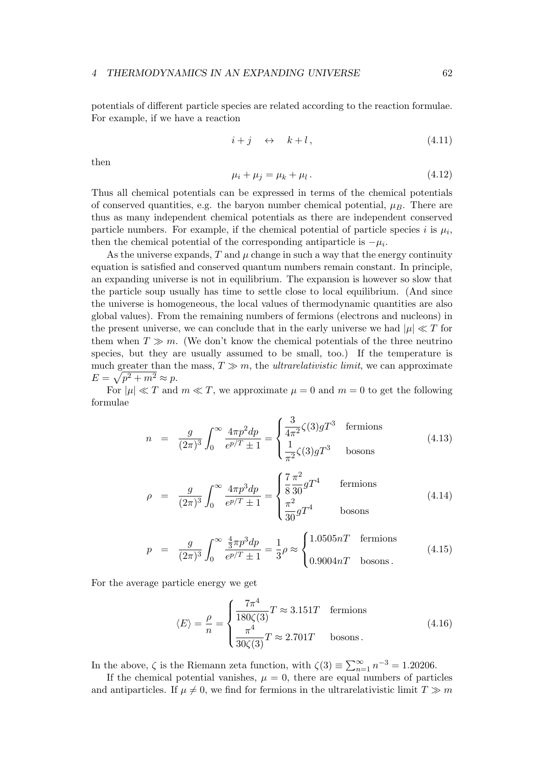potentials of different particle species are related according to the reaction formulae. For example, if we have a reaction

$$
i + j \quad \leftrightarrow \quad k + l \,, \tag{4.11}
$$

then

$$
\mu_i + \mu_j = \mu_k + \mu_l. \tag{4.12}
$$

Thus all chemical potentials can be expressed in terms of the chemical potentials of conserved quantities, e.g. the baryon number chemical potential,  $\mu_B$ . There are thus as many independent chemical potentials as there are independent conserved particle numbers. For example, if the chemical potential of particle species  $i$  is  $\mu_i$ , then the chemical potential of the corresponding antiparticle is  $-\mu_i$ .

As the universe expands,  $T$  and  $\mu$  change in such a way that the energy continuity equation is satisfied and conserved quantum numbers remain constant. In principle, an expanding universe is not in equilibrium. The expansion is however so slow that the particle soup usually has time to settle close to local equilibrium. (And since the universe is homogeneous, the local values of thermodynamic quantities are also global values). From the remaining numbers of fermions (electrons and nucleons) in the present universe, we can conclude that in the early universe we had  $|\mu| \ll T$  for them when  $T \gg m$ . (We don't know the chemical potentials of the three neutrino species, but they are usually assumed to be small, too.) If the temperature is much greater than the mass,  $T \gg m$ , the *ultrarelativistic limit*, we can approximate  $E = \sqrt{p^2 + m^2} \approx p.$ 

For  $|\mu| \ll T$  and  $m \ll T$ , we approximate  $\mu = 0$  and  $m = 0$  to get the following formulae

$$
n = \frac{g}{(2\pi)^3} \int_0^\infty \frac{4\pi p^2 dp}{e^{p/T} \pm 1} = \begin{cases} \frac{3}{4\pi^2} \zeta(3) g^{T^3} & \text{fermions} \\ \frac{1}{\pi^2} \zeta(3) g^{T^3} & \text{bosons} \end{cases}
$$
(4.13)

$$
\rho = \frac{g}{(2\pi)^3} \int_0^\infty \frac{4\pi p^3 dp}{e^{p/T} \pm 1} = \begin{cases} \frac{7}{8} \frac{\pi^2}{30} gT^4 & \text{fermions} \\ \frac{\pi^2}{30} gT^4 & \text{bosons} \end{cases}
$$
(4.14)

$$
p = \frac{g}{(2\pi)^3} \int_0^\infty \frac{\frac{4}{3}\pi p^3 dp}{e^{p/T} \pm 1} = \frac{1}{3} \rho \approx \begin{cases} 1.0505nT & \text{fermions} \\ 0.9004nT & \text{bosons} \end{cases}
$$
 (4.15)

For the average particle energy we get

$$
\langle E \rangle = \frac{\rho}{n} = \begin{cases} \frac{7\pi^4}{180\zeta(3)} T \approx 3.151T & \text{fermions} \\ \frac{\pi^4}{30\zeta(3)} T \approx 2.701T & \text{bosons} \,. \end{cases} \tag{4.16}
$$

In the above,  $\zeta$  is the Riemann zeta function, with  $\zeta(3) \equiv \sum_{n=1}^{\infty} n^{-3} = 1.20206$ .

If the chemical potential vanishes,  $\mu = 0$ , there are equal numbers of particles and antiparticles. If  $\mu \neq 0$ , we find for fermions in the ultrarelativistic limit  $T \gg m$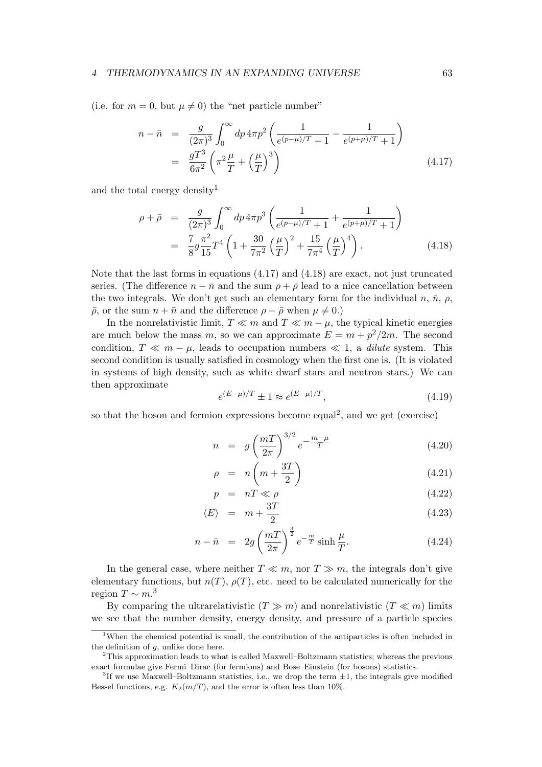(i.e. for  $m = 0$ , but  $\mu \neq 0$ ) the "net particle number"

$$
n - \bar{n} = \frac{g}{(2\pi)^3} \int_0^\infty dp \, 4\pi p^2 \left( \frac{1}{e^{(p-\mu)/T} + 1} - \frac{1}{e^{(p+\mu)/T} + 1} \right)
$$
  
= 
$$
\frac{gT^3}{6\pi^2} \left( \pi^2 \frac{\mu}{T} + \left( \frac{\mu}{T} \right)^3 \right)
$$
(4.17)

and the total energy density<sup>1</sup>

$$
\rho + \bar{\rho} = \frac{g}{(2\pi)^3} \int_0^\infty dp \, 4\pi p^3 \left( \frac{1}{e^{(p-\mu)/T} + 1} + \frac{1}{e^{(p+\mu)/T} + 1} \right)
$$
  
=  $\frac{7}{8} g \frac{\pi^2}{15} T^4 \left( 1 + \frac{30}{7\pi^2} \left( \frac{\mu}{T} \right)^2 + \frac{15}{7\pi^4} \left( \frac{\mu}{T} \right)^4 \right).$  (4.18)

Note that the last forms in equations (4.17) and (4.18) are exact, not just truncated series. (The difference  $n - \bar{n}$  and the sum  $\rho + \bar{\rho}$  lead to a nice cancellation between the two integrals. We don't get such an elementary form for the individual *n*,  $\bar{n}$ ,  $\rho$ ,  $\bar{\rho}$ , or the sum  $n + \bar{n}$  and the difference  $\rho - \bar{\rho}$  when  $\mu \neq 0$ .)

In the nonrelativistic limit, *T ≪ m* and *T ≪ m − µ*, the typical kinetic energies are much below the mass *m*, so we can approximate  $E = m + p^2/2m$ . The second condition,  $T \ll m - \mu$ , leads to occupation numbers  $\ll 1$ , a *dilute* system. This second condition is usually satisfied in cosmology when the first one is. (It is violated in systems of high density, such as white dwarf stars and neutron stars.) We can then approximate

$$
e^{(E-\mu)/T} \pm 1 \approx e^{(E-\mu)/T}, \tag{4.19}
$$

so that the boson and fermion expressions become equal<sup>2</sup>, and we get (exercise)

$$
n = g\left(\frac{m}{2\pi}\right)^{3/2}e^{-\frac{m-\mu}{T}} \tag{4.20}
$$

$$
\rho = n \left( m + \frac{3T}{2} \right) \tag{4.21}
$$

$$
p = nT \ll \rho \tag{4.22}
$$
\n
$$
T
$$

$$
\langle E \rangle = m + \frac{3T}{2} \tag{4.23}
$$

$$
n - \bar{n} = 2g\left(\frac{m}{2\pi}\right)^{\frac{3}{2}}e^{-\frac{m}{T}}\sinh\frac{\mu}{T}.
$$
 (4.24)

In the general case, where neither  $T \ll m$ , nor  $T \gg m$ , the integrals don't give elementary functions, but  $n(T)$ ,  $\rho(T)$ , etc. need to be calculated numerically for the region  $T \sim m$ <sup>3</sup>

By comparing the ultrarelativistic  $(T \gg m)$  and nonrelativistic  $(T \ll m)$  limits we see that the number density, energy density, and pressure of a particle species

<sup>&</sup>lt;sup>1</sup>When the chemical potential is small, the contribution of the antiparticles is often included in the definition of *g*, unlike done here.

<sup>2</sup>This approximation leads to what is called Maxwell–Boltzmann statistics; whereas the previous exact formulae give Fermi–Dirac (for fermions) and Bose–Einstein (for bosons) statistics.

<sup>3</sup> If we use Maxwell–Boltzmann statistics, i.e., we drop the term *±*1, the integrals give modified Bessel functions, e.g.  $K_2(m/T)$ , and the error is often less than 10%.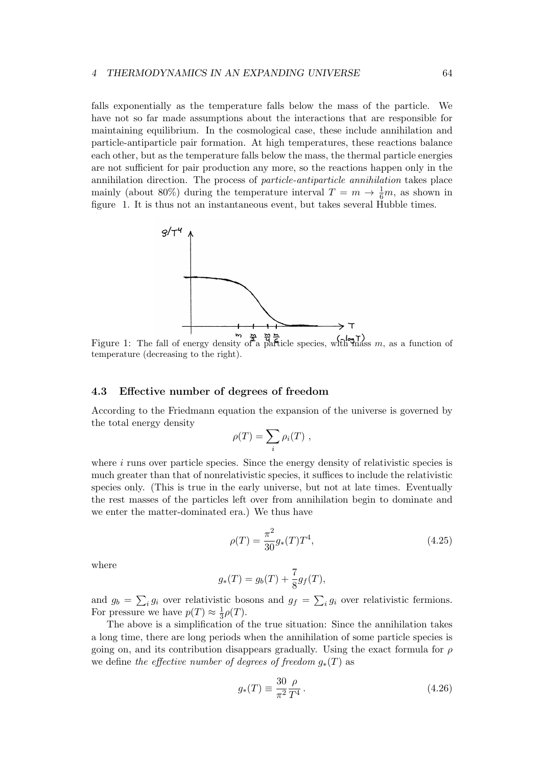falls exponentially as the temperature falls below the mass of the particle. We have not so far made assumptions about the interactions that are responsible for maintaining equilibrium. In the cosmological case, these include annihilation and particle-antiparticle pair formation. At high temperatures, these reactions balance each other, but as the temperature falls below the mass, the thermal particle energies are not sufficient for pair production any more, so the reactions happen only in the annihilation direction. The process of *particle-antiparticle annihilation* takes place mainly (about 80%) during the temperature interval  $T = m \rightarrow \frac{1}{6}m$ , as shown in figure 1. It is thus not an instantaneous event, but takes several Hubble times.



Figure 1: The fall of energy density of a particle species, with mass *m*, as a function of temperature (decreasing to the right).

# **4.3 Effective number of degrees of freedom**

According to the Friedmann equation the expansion of the universe is governed by the total energy density

$$
\rho(T) = \sum_i \rho_i(T) ,
$$

where *i* runs over particle species. Since the energy density of relativistic species is much greater than that of nonrelativistic species, it suffices to include the relativistic species only. (This is true in the early universe, but not at late times. Eventually the rest masses of the particles left over from annihilation begin to dominate and we enter the matter-dominated era.) We thus have

$$
\rho(T) = \frac{\pi^2}{30} g_*(T) T^4,\tag{4.25}
$$

where

$$
g_*(T) = g_b(T) + \frac{7}{8}g_f(T),
$$

and  $g_b = \sum_i g_i$  over relativistic bosons and  $g_f = \sum_i g_i$  over relativistic fermions. For pressure we have  $p(T) \approx \frac{1}{3}$  $rac{1}{3}\rho(T).$ 

The above is a simplification of the true situation: Since the annihilation takes a long time, there are long periods when the annihilation of some particle species is going on, and its contribution disappears gradually. Using the exact formula for *ρ* we define *the effective number of degrees of freedom*  $g_*(T)$  as

$$
g_*(T) \equiv \frac{30 \, \rho}{\pi^2 \, T^4} \,. \tag{4.26}
$$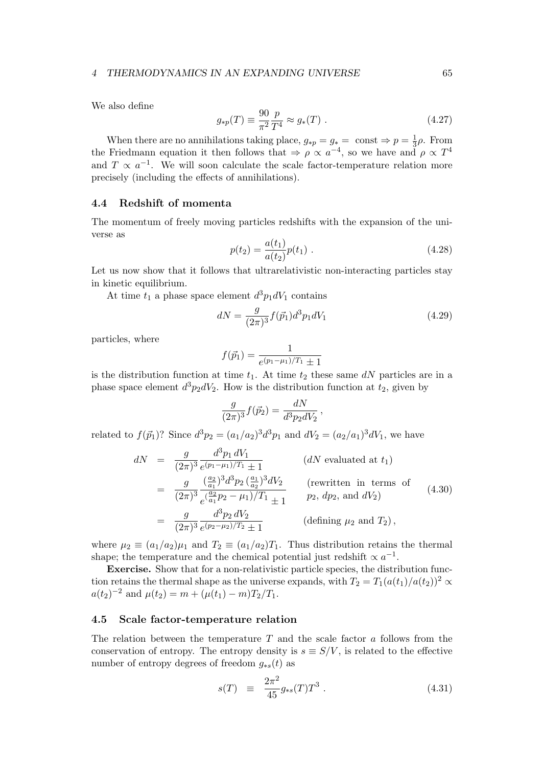We also define

$$
g_{*p}(T) \equiv \frac{90}{\pi^2} \frac{p}{T^4} \approx g_*(T) \ . \tag{4.27}
$$

When there are no annihilations taking place,  $g_{*p} = g_* = \text{const} \Rightarrow p = \frac{1}{3}$  $\frac{1}{3}ρ$ . From the Friedmann equation it then follows that  $\Rightarrow \rho \propto a^{-4}$ , so we have and  $\rho \propto T^4$ and  $T \propto a^{-1}$ . We will soon calculate the scale factor-temperature relation more precisely (including the effects of annihilations).

# **4.4 Redshift of momenta**

The momentum of freely moving particles redshifts with the expansion of the universe as

$$
p(t_2) = \frac{a(t_1)}{a(t_2)} p(t_1) . \tag{4.28}
$$

Let us now show that it follows that ultrarelativistic non-interacting particles stay in kinetic equilibrium.

At time  $t_1$  a phase space element  $d^3p_1dV_1$  contains

$$
dN = \frac{g}{(2\pi)^3} f(\vec{p}_1) d^3 p_1 dV_1 \tag{4.29}
$$

particles, where

$$
f(\vec{p}_1) = \frac{1}{e^{(p_1 - \mu_1)/T_1} \pm 1}
$$

is the distribution function at time  $t_1$ . At time  $t_2$  these same  $dN$  particles are in a phase space element  $d^3p_2dV_2$ . How is the distribution function at  $t_2$ , given by

$$
\frac{g}{(2\pi)^3} f(\vec{p}_2) = \frac{dN}{d^3 p_2 dV_2},
$$

related to  $f(\vec{p}_1)$ ? Since  $d^3p_2 = (a_1/a_2)^3 d^3p_1$  and  $dV_2 = (a_2/a_1)^3 dV_1$ , we have

$$
dN = \frac{g}{(2\pi)^3} \frac{d^3 p_1 dV_1}{e^{(p_1 - \mu_1)/T_1} \pm 1}
$$
 (*dN* evaluated at  $t_1$ )  
\n
$$
= \frac{g}{(2\pi)^3} \frac{(\frac{a_2}{a_1})^3 d^3 p_2 (\frac{a_1}{a_2})^3 dV_2}{e^{(\frac{a_2}{a_1}p_2 - \mu_1)/T_1} \pm 1}
$$
 (rewritten in terms of  
\n $p_2$ ,  $dp_2$ , and  $dV_2$ )  
\n
$$
= \frac{g}{(2\pi)^3} \frac{d^3 p_2 dV_2}{e^{(p_2 - \mu_2)/T_2} \pm 1}
$$
 (defining  $\mu_2$  and  $T_2$ ), (defining  $\mu_2$  and  $T_2$ ),

where  $\mu_2 \equiv (a_1/a_2)\mu_1$  and  $T_2 \equiv (a_1/a_2)T_1$ . Thus distribution retains the thermal shape; the temperature and the chemical potential just redshift  $\propto a^{-1}$ .

**Exercise.** Show that for a non-relativistic particle species, the distribution function retains the thermal shape as the universe expands, with  $T_2 = T_1(a(t_1)/a(t_2))^2 \propto$  $a(t_2)^{-2}$  and  $\mu(t_2) = m + (\mu(t_1) - m)T_2/T_1$ .

# **4.5 Scale factor-temperature relation**

The relation between the temperature *T* and the scale factor *a* follows from the conservation of entropy. The entropy density is  $s \equiv S/V$ , is related to the effective number of entropy degrees of freedom  $g_{*s}(t)$  as

$$
s(T) \equiv \frac{2\pi^2}{45} g_{*s}(T) T^3 \,. \tag{4.31}
$$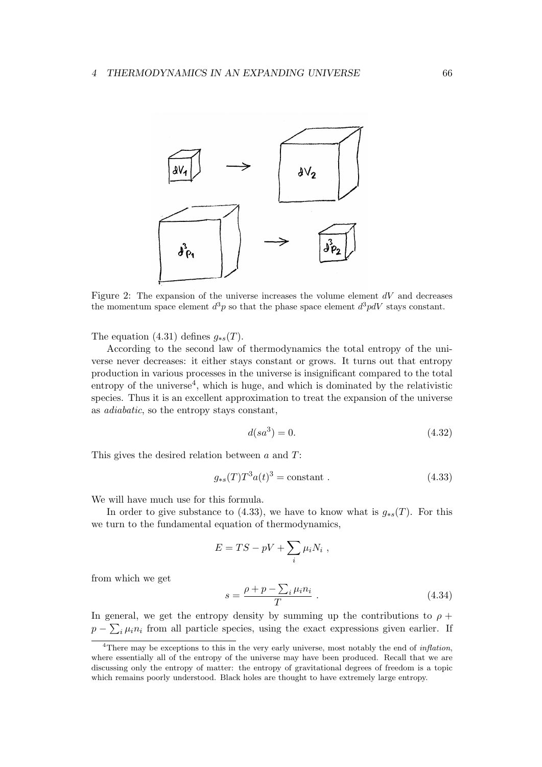

Figure 2: The expansion of the universe increases the volume element *dV* and decreases the momentum space element  $d^3p$  so that the phase space element  $d^3pdV$  stays constant.

The equation (4.31) defines  $q_{\ast s}(T)$ .

According to the second law of thermodynamics the total entropy of the universe never decreases: it either stays constant or grows. It turns out that entropy production in various processes in the universe is insignificant compared to the total entropy of the universe<sup>4</sup>, which is huge, and which is dominated by the relativistic species. Thus it is an excellent approximation to treat the expansion of the universe as *adiabatic*, so the entropy stays constant,

$$
d(sa^3) = 0.\t(4.32)
$$

This gives the desired relation between *a* and *T*:

$$
g_{\ast s}(T)T^3a(t)^3 = \text{constant} \tag{4.33}
$$

We will have much use for this formula.

In order to give substance to (4.33), we have to know what is  $g_{*s}(T)$ . For this we turn to the fundamental equation of thermodynamics,

$$
E = TS - pV + \sum_i \mu_i N_i ,
$$

from which we get

$$
s = \frac{\rho + p - \sum_{i} \mu_i n_i}{T} \tag{4.34}
$$

In general, we get the entropy density by summing up the contributions to  $\rho$  +  $p - \sum_i \mu_i n_i$  from all particle species, using the exact expressions given earlier. If

<sup>4</sup>There may be exceptions to this in the very early universe, most notably the end of *inflation*, where essentially all of the entropy of the universe may have been produced. Recall that we are discussing only the entropy of matter: the entropy of gravitational degrees of freedom is a topic which remains poorly understood. Black holes are thought to have extremely large entropy.